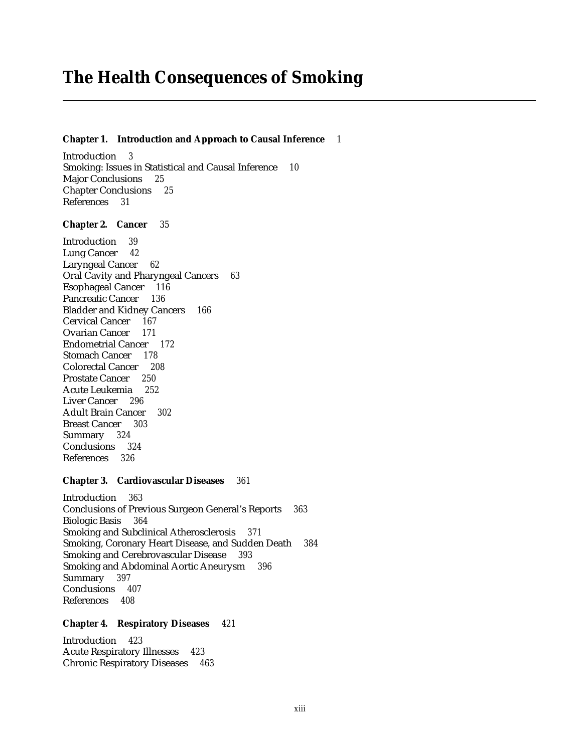# **The Health Consequences of Smoking**

#### **Chapter 1. Introduction and Approach to Causal Inference** *1*

Introduction *3* Smoking: Issues in Statistical and Causal Inference *10* Major Conclusions *25* Chapter Conclusions *25* References *31*

## **Chapter 2. Cancer** *35*

Introduction *39* Lung Cancer *42* Laryngeal Cancer *62* Oral Cavity and Pharyngeal Cancers *63* Esophageal Cancer *116* Pancreatic Cancer *136* Bladder and Kidney Cancers *166* Cervical Cancer *167* Ovarian Cancer *171* Endometrial Cancer *172* Stomach Cancer *178* Colorectal Cancer *208* Prostate Cancer *250* Acute Leukemia *252* Liver Cancer *296* Adult Brain Cancer *302* Breast Cancer *303* Summary *324* Conclusions *324* References *326*

## **Chapter 3. Cardiovascular Diseases** *361*

Introduction *363* Conclusions of Previous Surgeon General's Reports *363* Biologic Basis *364* Smoking and Subclinical Atherosclerosis *371* Smoking, Coronary Heart Disease, and Sudden Death *384* Smoking and Cerebrovascular Disease *393* Smoking and Abdominal Aortic Aneurysm *396* Summary *397* Conclusions *407* References *408*

## **Chapter 4. Respiratory Diseases** *421*

Introduction *423* Acute Respiratory Illnesses *423* Chronic Respiratory Diseases *463*